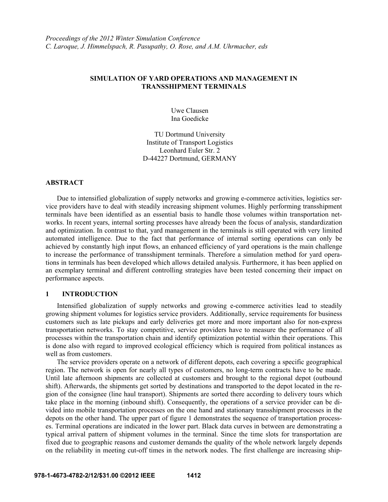### **SIMULATION OF YARD OPERATIONS AND MANAGEMENT IN TRANSSHIPMENT TERMINALS**

Uwe Clausen Ina Goedicke

TU Dortmund University Institute of Transport Logistics Leonhard Euler Str. 2 D-44227 Dortmund, GERMANY

### **ABSTRACT**

Due to intensified globalization of supply networks and growing e-commerce activities, logistics service providers have to deal with steadily increasing shipment volumes. Highly performing transshipment terminals have been identified as an essential basis to handle those volumes within transportation networks. In recent years, internal sorting processes have already been the focus of analysis, standardization and optimization. In contrast to that, yard management in the terminals is still operated with very limited automated intelligence. Due to the fact that performance of internal sorting operations can only be achieved by constantly high input flows, an enhanced efficiency of yard operations is the main challenge to increase the performance of transshipment terminals. Therefore a simulation method for yard operations in terminals has been developed which allows detailed analysis. Furthermore, it has been applied on an exemplary terminal and different controlling strategies have been tested concerning their impact on performance aspects.

### **1 INTRODUCTION**

Intensified globalization of supply networks and growing e-commerce activities lead to steadily growing shipment volumes for logistics service providers. Additionally, service requirements for business customers such as late pickups and early deliveries get more and more important also for non-express transportation networks. To stay competitive, service providers have to measure the performance of all processes within the transportation chain and identify optimization potential within their operations. This is done also with regard to improved ecological efficiency which is required from political instances as well as from customers.

The service providers operate on a network of different depots, each covering a specific geographical region. The network is open for nearly all types of customers, no long-term contracts have to be made. Until late afternoon shipments are collected at customers and brought to the regional depot (outbound shift). Afterwards, the shipments get sorted by destinations and transported to the depot located in the region of the consignee (line haul transport). Shipments are sorted there according to delivery tours which take place in the morning (inbound shift). Consequently, the operations of a service provider can be divided into mobile transportation processes on the one hand and stationary transshipment processes in the depots on the other hand. The upper part of figure 1 demonstrates the sequence of transportation processes. Terminal operations are indicated in the lower part. Black data curves in between are demonstrating a typical arrival pattern of shipment volumes in the terminal. Since the time slots for transportation are fixed due to geographic reasons and customer demands the quality of the whole network largely depends on the reliability in meeting cut-off times in the network nodes. The first challenge are increasing ship-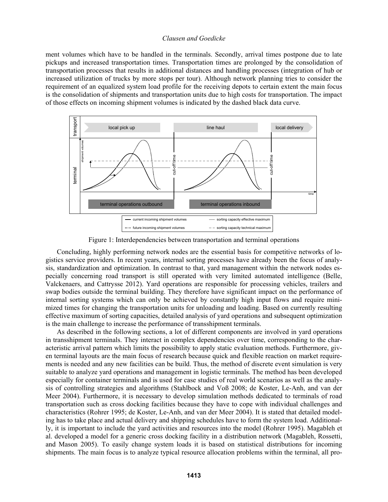ment volumes which have to be handled in the terminals. Secondly, arrival times postpone due to late pickups and increased transportation times. Transportation times are prolonged by the consolidation of transportation processes that results in additional distances and handling processes (integration of hub or increased utilization of trucks by more stops per tour). Although network planning tries to consider the requirement of an equalized system load profile for the receiving depots to certain extent the main focus is the consolidation of shipments and transportation units due to high costs for transportation. The impact of those effects on incoming shipment volumes is indicated by the dashed black data curve.



Figure 1: Interdependencies between transportation and terminal operations

Concluding, highly performing network nodes are the essential basis for competitive networks of logistics service providers. In recent years, internal sorting processes have already been the focus of analysis, standardization and optimization. In contrast to that, yard management within the network nodes especially concerning road transport is still operated with very limited automated intelligence (Belle, Valckenaers, and Cattrysse 2012). Yard operations are responsible for processing vehicles, trailers and swap bodies outside the terminal building. They therefore have significant impact on the performance of internal sorting systems which can only be achieved by constantly high input flows and require minimized times for changing the transportation units for unloading and loading. Based on currently resulting effective maximum of sorting capacities, detailed analysis of yard operations and subsequent optimization is the main challenge to increase the performance of transshipment terminals.

As described in the following sections, a lot of different components are involved in yard operations in transshipment terminals. They interact in complex dependencies over time, corresponding to the characteristic arrival pattern which limits the possibility to apply static evaluation methods. Furthermore, given terminal layouts are the main focus of research because quick and flexible reaction on market requirements is needed and any new facilities can be build. Thus, the method of discrete event simulation is very suitable to analyze yard operations and management in logistic terminals. The method has been developed especially for container terminals and is used for case studies of real world scenarios as well as the analysis of controlling strategies and algorithms (Stahlbock and Voß 2008; de Koster, Le-Anh, and van der Meer 2004). Furthermore, it is necessary to develop simulation methods dedicated to terminals of road transportation such as cross docking facilities because they have to cope with individual challenges and characteristics (Rohrer 1995; de Koster, Le-Anh, and van der Meer 2004). It is stated that detailed modeling has to take place and actual delivery and shipping schedules have to form the system load. Additionally, it is important to include the yard activities and resources into the model (Rohrer 1995). Magableh et al. developed a model for a generic cross docking facility in a distribution network (Magableh, Rossetti, and Mason 2005). To easily change system loads it is based on statistical distributions for incoming shipments. The main focus is to analyze typical resource allocation problems within the terminal, all pro-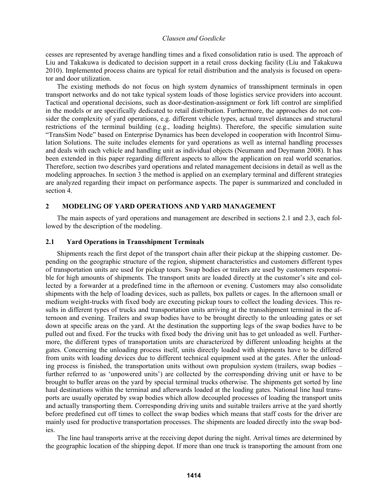cesses are represented by average handling times and a fixed consolidation ratio is used. The approach of Liu and Takakuwa is dedicated to decision support in a retail cross docking facility (Liu and Takakuwa 2010). Implemented process chains are typical for retail distribution and the analysis is focused on operator and door utilization.

The existing methods do not focus on high system dynamics of transshipment terminals in open transport networks and do not take typical system loads of those logistics service providers into account. Tactical and operational decisions, such as door-destination-assignment or fork lift control are simplified in the models or are specifically dedicated to retail distribution. Furthermore, the approaches do not consider the complexity of yard operations, e.g. different vehicle types, actual travel distances and structural restrictions of the terminal building (e.g., loading heights). Therefore, the specific simulation suite "TransSim Node" based on Enterprise Dynamics has been developed in cooperation with Incontrol Simulation Solutions. The suite includes elements for yard operations as well as internal handling processes and deals with each vehicle and handling unit as individual objects (Neumann and Deymann 2008). It has been extended in this paper regarding different aspects to allow the application on real world scenarios. Therefore, section two describes yard operations and related management decisions in detail as well as the modeling approaches. In section 3 the method is applied on an exemplary terminal and different strategies are analyzed regarding their impact on performance aspects. The paper is summarized and concluded in section 4.

### **2 MODELING OF YARD OPERATIONS AND YARD MANAGEMENT**

The main aspects of yard operations and management are described in sections 2.1 and 2.3, each followed by the description of the modeling.

### **2.1 Yard Operations in Transshipment Terminals**

Shipments reach the first depot of the transport chain after their pickup at the shipping customer. Depending on the geographic structure of the region, shipment characteristics and customers different types of transportation units are used for pickup tours. Swap bodies or trailers are used by customers responsible for high amounts of shipments. The transport units are loaded directly at the customer's site and collected by a forwarder at a predefined time in the afternoon or evening. Customers may also consolidate shipments with the help of loading devices, such as pallets, box pallets or cages. In the afternoon small or medium weight-trucks with fixed body are executing pickup tours to collect the loading devices. This results in different types of trucks and transportation units arriving at the transshipment terminal in the afternoon and evening. Trailers and swap bodies have to be brought directly to the unloading gates or set down at specific areas on the yard. At the destination the supporting legs of the swap bodies have to be pulled out and fixed. For the trucks with fixed body the driving unit has to get unloaded as well. Furthermore, the different types of transportation units are characterized by different unloading heights at the gates. Concerning the unloading process itself, units directly loaded with shipments have to be differed from units with loading devices due to different technical equipment used at the gates. After the unloading process is finished, the transportation units without own propulsion system (trailers, swap bodies – further referred to as 'unpowered units') are collected by the corresponding driving unit or have to be brought to buffer areas on the yard by special terminal trucks otherwise. The shipments get sorted by line haul destinations within the terminal and afterwards loaded at the loading gates. National line haul transports are usually operated by swap bodies which allow decoupled processes of loading the transport units and actually transporting them. Corresponding driving units and suitable trailers arrive at the yard shortly before predefined cut off times to collect the swap bodies which means that staff costs for the driver are mainly used for productive transportation processes. The shipments are loaded directly into the swap bodies.

The line haul transports arrive at the receiving depot during the night. Arrival times are determined by the geographic location of the shipping depot. If more than one truck is transporting the amount from one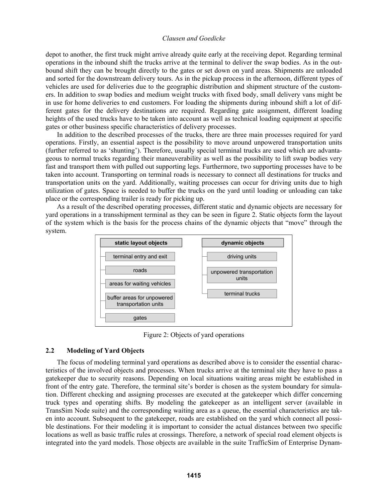depot to another, the first truck might arrive already quite early at the receiving depot. Regarding terminal operations in the inbound shift the trucks arrive at the terminal to deliver the swap bodies. As in the outbound shift they can be brought directly to the gates or set down on yard areas. Shipments are unloaded and sorted for the downstream delivery tours. As in the pickup process in the afternoon, different types of vehicles are used for deliveries due to the geographic distribution and shipment structure of the customers. In addition to swap bodies and medium weight trucks with fixed body, small delivery vans might be in use for home deliveries to end customers. For loading the shipments during inbound shift a lot of different gates for the delivery destinations are required. Regarding gate assignment, different loading heights of the used trucks have to be taken into account as well as technical loading equipment at specific gates or other business specific characteristics of delivery processes.

In addition to the described processes of the trucks, there are three main processes required for yard operations. Firstly, an essential aspect is the possibility to move around unpowered transportation units (further referred to as 'shunting'). Therefore, usually special terminal trucks are used which are advantageous to normal trucks regarding their maneuverability as well as the possibility to lift swap bodies very fast and transport them with pulled out supporting legs. Furthermore, two supporting processes have to be taken into account. Transporting on terminal roads is necessary to connect all destinations for trucks and transportation units on the yard. Additionally, waiting processes can occur for driving units due to high utilization of gates. Space is needed to buffer the trucks on the yard until loading or unloading can take place or the corresponding trailer is ready for picking up.

As a result of the described operating processes, different static and dynamic objects are necessary for yard operations in a transshipment terminal as they can be seen in figure 2. Static objects form the layout of the system which is the basis for the process chains of the dynamic objects that "move" through the system.



Figure 2: Objects of yard operations

### **2.2 Modeling of Yard Objects**

The focus of modeling terminal yard operations as described above is to consider the essential characteristics of the involved objects and processes. When trucks arrive at the terminal site they have to pass a gatekeeper due to security reasons. Depending on local situations waiting areas might be established in front of the entry gate. Therefore, the terminal site's border is chosen as the system boundary for simulation. Different checking and assigning processes are executed at the gatekeeper which differ concerning truck types and operating shifts. By modeling the gatekeeper as an intelligent server (available in TransSim Node suite) and the corresponding waiting area as a queue, the essential characteristics are taken into account. Subsequent to the gatekeeper, roads are established on the yard which connect all possible destinations. For their modeling it is important to consider the actual distances between two specific locations as well as basic traffic rules at crossings. Therefore, a network of special road element objects is integrated into the yard models. Those objects are available in the suite TrafficSim of Enterprise Dynam-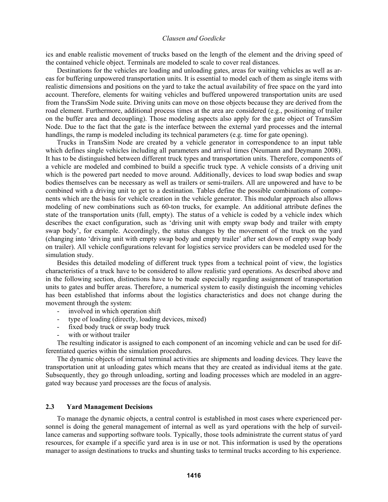ics and enable realistic movement of trucks based on the length of the element and the driving speed of the contained vehicle object. Terminals are modeled to scale to cover real distances.

Destinations for the vehicles are loading and unloading gates, areas for waiting vehicles as well as areas for buffering unpowered transportation units. It is essential to model each of them as single items with realistic dimensions and positions on the yard to take the actual availability of free space on the yard into account. Therefore, elements for waiting vehicles and buffered unpowered transportation units are used from the TransSim Node suite. Driving units can move on those objects because they are derived from the road element. Furthermore, additional process times at the area are considered (e.g., positioning of trailer on the buffer area and decoupling). Those modeling aspects also apply for the gate object of TransSim Node. Due to the fact that the gate is the interface between the external yard processes and the internal handlings, the ramp is modeled including its technical parameters (e.g. time for gate opening).

Trucks in TransSim Node are created by a vehicle generator in correspondence to an input table which defines single vehicles including all parameters and arrival times (Neumann and Deymann 2008). It has to be distinguished between different truck types and transportation units. Therefore, components of a vehicle are modeled and combined to build a specific truck type. A vehicle consists of a driving unit which is the powered part needed to move around. Additionally, devices to load swap bodies and swap bodies themselves can be necessary as well as trailers or semi-trailers. All are unpowered and have to be combined with a driving unit to get to a destination. Tables define the possible combinations of components which are the basis for vehicle creation in the vehicle generator. This modular approach also allows modeling of new combinations such as 60-ton trucks, for example. An additional attribute defines the state of the transportation units (full, empty). The status of a vehicle is coded by a vehicle index which describes the exact configuration, such as 'driving unit with empty swap body and trailer with empty swap body', for example. Accordingly, the status changes by the movement of the truck on the yard (changing into 'driving unit with empty swap body and empty trailer' after set down of empty swap body on trailer). All vehicle configurations relevant for logistics service providers can be modeled used for the simulation study.

Besides this detailed modeling of different truck types from a technical point of view, the logistics characteristics of a truck have to be considered to allow realistic yard operations. As described above and in the following section, distinctions have to be made especially regarding assignment of transportation units to gates and buffer areas. Therefore, a numerical system to easily distinguish the incoming vehicles has been established that informs about the logistics characteristics and does not change during the movement through the system:

- involved in which operation shift
- type of loading (directly, loading devices, mixed)
- fixed body truck or swap body truck
- with or without trailer

The resulting indicator is assigned to each component of an incoming vehicle and can be used for differentiated queries within the simulation procedures.

The dynamic objects of internal terminal activities are shipments and loading devices. They leave the transportation unit at unloading gates which means that they are created as individual items at the gate. Subsequently, they go through unloading, sorting and loading processes which are modeled in an aggregated way because yard processes are the focus of analysis.

#### **2.3 Yard Management Decisions**

To manage the dynamic objects, a central control is established in most cases where experienced personnel is doing the general management of internal as well as yard operations with the help of surveillance cameras and supporting software tools. Typically, those tools administrate the current status of yard resources, for example if a specific yard area is in use or not. This information is used by the operations manager to assign destinations to trucks and shunting tasks to terminal trucks according to his experience.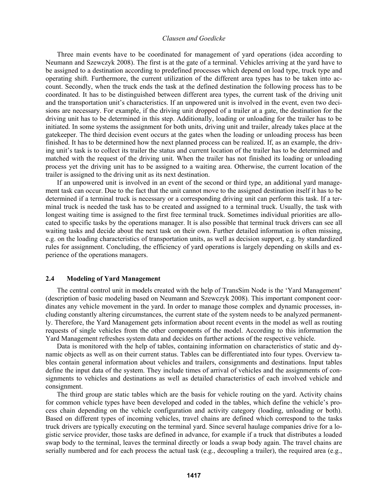Three main events have to be coordinated for management of yard operations (idea according to Neumann and Szewczyk 2008). The first is at the gate of a terminal. Vehicles arriving at the yard have to be assigned to a destination according to predefined processes which depend on load type, truck type and operating shift. Furthermore, the current utilization of the different area types has to be taken into account. Secondly, when the truck ends the task at the defined destination the following process has to be coordinated. It has to be distinguished between different area types, the current task of the driving unit and the transportation unit's characteristics. If an unpowered unit is involved in the event, even two decisions are necessary. For example, if the driving unit dropped of a trailer at a gate, the destination for the driving unit has to be determined in this step. Additionally, loading or unloading for the trailer has to be initiated. In some systems the assignment for both units, driving unit and trailer, already takes place at the gatekeeper. The third decision event occurs at the gates when the loading or unloading process has been finished. It has to be determined how the next planned process can be realized. If, as an example, the driving unit's task is to collect its trailer the status and current location of the trailer has to be determined and matched with the request of the driving unit. When the trailer has not finished its loading or unloading process yet the driving unit has to be assigned to a waiting area. Otherwise, the current location of the trailer is assigned to the driving unit as its next destination.

If an unpowered unit is involved in an event of the second or third type, an additional yard management task can occur. Due to the fact that the unit cannot move to the assigned destination itself it has to be determined if a terminal truck is necessary or a corresponding driving unit can perform this task. If a terminal truck is needed the task has to be created and assigned to a terminal truck. Usually, the task with longest waiting time is assigned to the first free terminal truck. Sometimes individual priorities are allocated to specific tasks by the operations manager. It is also possible that terminal truck drivers can see all waiting tasks and decide about the next task on their own. Further detailed information is often missing, e.g. on the loading characteristics of transportation units, as well as decision support, e.g. by standardized rules for assignment. Concluding, the efficiency of yard operations is largely depending on skills and experience of the operations managers.

### **2.4 Modeling of Yard Management**

The central control unit in models created with the help of TransSim Node is the 'Yard Management' (description of basic modeling based on Neumann and Szewczyk 2008). This important component coordinates any vehicle movement in the yard. In order to manage those complex and dynamic processes, including constantly altering circumstances, the current state of the system needs to be analyzed permanently. Therefore, the Yard Management gets information about recent events in the model as well as routing requests of single vehicles from the other components of the model. According to this information the Yard Management refreshes system data and decides on further actions of the respective vehicle.

Data is monitored with the help of tables, containing information on characteristics of static and dynamic objects as well as on their current status. Tables can be differentiated into four types. Overview tables contain general information about vehicles and trailers, consignments and destinations. Input tables define the input data of the system. They include times of arrival of vehicles and the assignments of consignments to vehicles and destinations as well as detailed characteristics of each involved vehicle and consignment.

The third group are static tables which are the basis for vehicle routing on the yard. Activity chains for common vehicle types have been developed and coded in the tables, which define the vehicle's process chain depending on the vehicle configuration and activity category (loading, unloading or both). Based on different types of incoming vehicles, travel chains are defined which correspond to the tasks truck drivers are typically executing on the terminal yard. Since several haulage companies drive for a logistic service provider, those tasks are defined in advance, for example if a truck that distributes a loaded swap body to the terminal, leaves the terminal directly or loads a swap body again. The travel chains are serially numbered and for each process the actual task (e.g., decoupling a trailer), the required area (e.g.,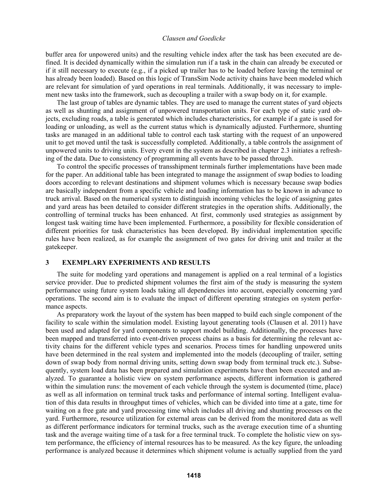buffer area for unpowered units) and the resulting vehicle index after the task has been executed are defined. It is decided dynamically within the simulation run if a task in the chain can already be executed or if it still necessary to execute (e.g., if a picked up trailer has to be loaded before leaving the terminal or has already been loaded). Based on this logic of TransSim Node activity chains have been modeled which are relevant for simulation of yard operations in real terminals. Additionally, it was necessary to implement new tasks into the framework, such as decoupling a trailer with a swap body on it, for example.

The last group of tables are dynamic tables. They are used to manage the current states of yard objects as well as shunting and assignment of unpowered transportation units. For each type of static yard objects, excluding roads, a table is generated which includes characteristics, for example if a gate is used for loading or unloading, as well as the current status which is dynamically adjusted. Furthermore, shunting tasks are managed in an additional table to control each task starting with the request of an unpowered unit to get moved until the task is successfully completed. Additionally, a table controls the assignment of unpowered units to driving units. Every event in the system as described in chapter 2.3 initiates a refreshing of the data. Due to consistency of programming all events have to be passed through.

To control the specific processes of transshipment terminals further implementations have been made for the paper. An additional table has been integrated to manage the assignment of swap bodies to loading doors according to relevant destinations and shipment volumes which is necessary because swap bodies are basically independent from a specific vehicle and loading information has to be known in advance to truck arrival. Based on the numerical system to distinguish incoming vehicles the logic of assigning gates and yard areas has been detailed to consider different strategies in the operation shifts. Additionally, the controlling of terminal trucks has been enhanced. At first, commonly used strategies as assignment by longest task waiting time have been implemented. Furthermore, a possibility for flexible consideration of different priorities for task characteristics has been developed. By individual implementation specific rules have been realized, as for example the assignment of two gates for driving unit and trailer at the gatekeeper.

### **3 EXEMPLARY EXPERIMENTS AND RESULTS**

The suite for modeling yard operations and management is applied on a real terminal of a logistics service provider. Due to predicted shipment volumes the first aim of the study is measuring the system performance using future system loads taking all dependencies into account, especially concerning yard operations. The second aim is to evaluate the impact of different operating strategies on system performance aspects.

As preparatory work the layout of the system has been mapped to build each single component of the facility to scale within the simulation model. Existing layout generating tools (Clausen et al. 2011) have been used and adapted for yard components to support model building. Additionally, the processes have been mapped and transferred into event-driven process chains as a basis for determining the relevant activity chains for the different vehicle types and scenarios. Process times for handling unpowered units have been determined in the real system and implemented into the models (decoupling of trailer, setting down of swap body from normal driving units, setting down swap body from terminal truck etc.). Subsequently, system load data has been prepared and simulation experiments have then been executed and analyzed. To guarantee a holistic view on system performance aspects, different information is gathered within the simulation runs: the movement of each vehicle through the system is documented (time, place) as well as all information on terminal truck tasks and performance of internal sorting. Intelligent evaluation of this data results in throughput times of vehicles, which can be divided into time at a gate, time for waiting on a free gate and yard processing time which includes all driving and shunting processes on the yard. Furthermore, resource utilization for external areas can be derived from the monitored data as well as different performance indicators for terminal trucks, such as the average execution time of a shunting task and the average waiting time of a task for a free terminal truck. To complete the holistic view on system performance, the efficiency of internal resources has to be measured. As the key figure, the unloading performance is analyzed because it determines which shipment volume is actually supplied from the yard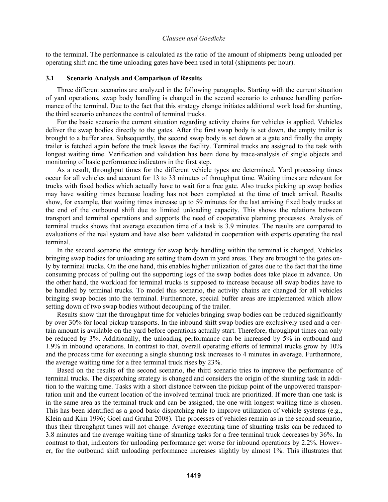to the terminal. The performance is calculated as the ratio of the amount of shipments being unloaded per operating shift and the time unloading gates have been used in total (shipments per hour).

### **3.1 Scenario Analysis and Comparison of Results**

Three different scenarios are analyzed in the following paragraphs. Starting with the current situation of yard operations, swap body handling is changed in the second scenario to enhance handling performance of the terminal. Due to the fact that this strategy change initiates additional work load for shunting, the third scenario enhances the control of terminal trucks.

For the basic scenario the current situation regarding activity chains for vehicles is applied. Vehicles deliver the swap bodies directly to the gates. After the first swap body is set down, the empty trailer is brought to a buffer area. Subsequently, the second swap body is set down at a gate and finally the empty trailer is fetched again before the truck leaves the facility. Terminal trucks are assigned to the task with longest waiting time. Verification and validation has been done by trace-analysis of single objects and monitoring of basic performance indicators in the first step.

As a result, throughput times for the different vehicle types are determined. Yard processing times occur for all vehicles and account for 13 to 33 minutes of throughput time. Waiting times are relevant for trucks with fixed bodies which actually have to wait for a free gate. Also trucks picking up swap bodies may have waiting times because loading has not been completed at the time of truck arrival. Results show, for example, that waiting times increase up to 59 minutes for the last arriving fixed body trucks at the end of the outbound shift due to limited unloading capacity. This shows the relations between transport and terminal operations and supports the need of cooperative planning processes. Analysis of terminal trucks shows that average execution time of a task is 3.9 minutes. The results are compared to evaluations of the real system and have also been validated in cooperation with experts operating the real terminal.

In the second scenario the strategy for swap body handling within the terminal is changed. Vehicles bringing swap bodies for unloading are setting them down in yard areas. They are brought to the gates only by terminal trucks. On the one hand, this enables higher utilization of gates due to the fact that the time consuming process of pulling out the supporting legs of the swap bodies does take place in advance. On the other hand, the workload for terminal trucks is supposed to increase because all swap bodies have to be handled by terminal trucks. To model this scenario, the activity chains are changed for all vehicles bringing swap bodies into the terminal. Furthermore, special buffer areas are implemented which allow setting down of two swap bodies without decoupling of the trailer.

Results show that the throughput time for vehicles bringing swap bodies can be reduced significantly by over 30% for local pickup transports. In the inbound shift swap bodies are exclusively used and a certain amount is available on the yard before operations actually start. Therefore, throughput times can only be reduced by 3%. Additionally, the unloading performance can be increased by 5% in outbound and 1.9% in inbound operations. In contrast to that, overall operating efforts of terminal trucks grow by 10% and the process time for executing a single shunting task increases to 4 minutes in average. Furthermore, the average waiting time for a free terminal truck rises by 23%.

Based on the results of the second scenario, the third scenario tries to improve the performance of terminal trucks. The dispatching strategy is changed and considers the origin of the shunting task in addition to the waiting time. Tasks with a short distance between the pickup point of the unpowered transportation unit and the current location of the involved terminal truck are prioritized. If more than one task is in the same area as the terminal truck and can be assigned, the one with longest waiting time is chosen. This has been identified as a good basic dispatching rule to improve utilization of vehicle systems (e.g., Klein and Kim 1996; Goel and Gruhn 2008). The processes of vehicles remain as in the second scenario, thus their throughput times will not change. Average executing time of shunting tasks can be reduced to 3.8 minutes and the average waiting time of shunting tasks for a free terminal truck decreases by 36%. In contrast to that, indicators for unloading performance get worse for inbound operations by 2.2%. However, for the outbound shift unloading performance increases slightly by almost 1%. This illustrates that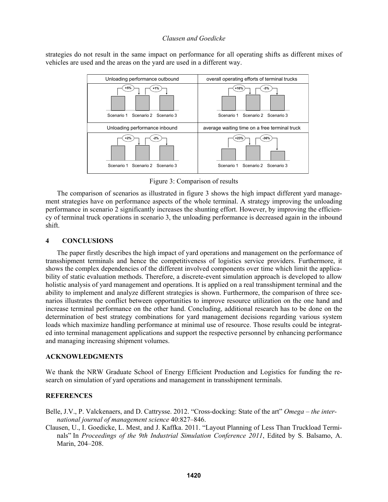strategies do not result in the same impact on performance for all operating shifts as different mixes of vehicles are used and the areas on the yard are used in a different way.



Figure 3: Comparison of results

The comparison of scenarios as illustrated in figure 3 shows the high impact different yard management strategies have on performance aspects of the whole terminal. A strategy improving the unloading performance in scenario 2 significantly increases the shunting effort. However, by improving the efficiency of terminal truck operations in scenario 3, the unloading performance is decreased again in the inbound shift.

# **4 CONCLUSIONS**

The paper firstly describes the high impact of yard operations and management on the performance of transshipment terminals and hence the competitiveness of logistics service providers. Furthermore, it shows the complex dependencies of the different involved components over time which limit the applicability of static evaluation methods. Therefore, a discrete-event simulation approach is developed to allow holistic analysis of yard management and operations. It is applied on a real transshipment terminal and the ability to implement and analyze different strategies is shown. Furthermore, the comparison of three scenarios illustrates the conflict between opportunities to improve resource utilization on the one hand and increase terminal performance on the other hand. Concluding, additional research has to be done on the determination of best strategy combinations for yard management decisions regarding various system loads which maximize handling performance at minimal use of resource. Those results could be integrated into terminal management applications and support the respective personnel by enhancing performance and managing increasing shipment volumes.

# **ACKNOWLEDGMENTS**

We thank the NRW Graduate School of Energy Efficient Production and Logistics for funding the research on simulation of yard operations and management in transshipment terminals.

# **REFERENCES**

Belle, J.V., P. Valckenaers, and D. Cattrysse. 2012. "Cross-docking: State of the art" *Omega – the international journal of management science* 40:827–846.

Clausen, U., I. Goedicke, L. Mest, and J. Kaffka. 2011. "Layout Planning of Less Than Truckload Terminals" In *Proceedings of the 9th Industrial Simulation Conference 2011*, Edited by S. Balsamo, A. Marin, 204–208.